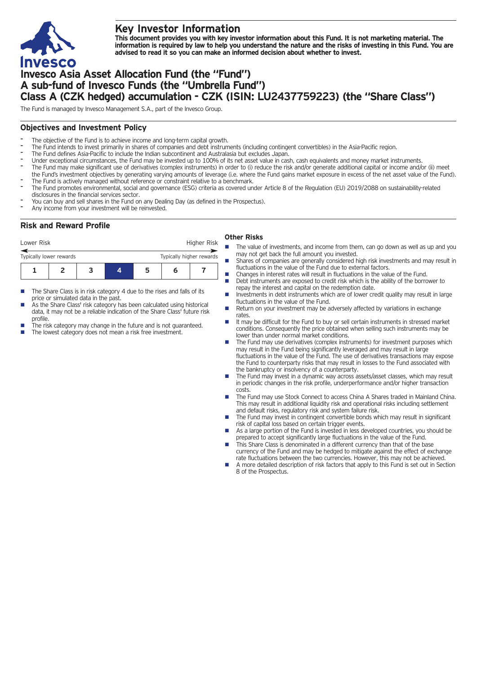

# **Key Investor Information**

This document provides you with key investor information about this Fund. It is not marketing material. The information is required by law to help you understand the nature and the risks of investing in this Fund. You are **advised to read it so you can make an informed decision about whether to invest.**

# **Invesco Asia Asset Allocation Fund (the "Fund") A sub-fund of Invesco Funds (the "Umbrella Fund") Class A (CZK hedged) accumulation - CZK (ISIN: LU2437759223) (the "Share Class")**

The Fund is managed by Invesco Management S.A., part of the Invesco Group.

## **Objectives and Investment Policy**

- The objective of the Fund is to achieve income and long-term capital growth.
- The Fund intends to invest primarily in shares of companies and debt instruments (including contingent convertibles) in the Asia-Pacific region.
- The Fund defines Asia-Pacific to include the Indian subcontinent and Australasia but excludes Japan.
- Under exceptional circumstances, the Fund may be invested up to 100% of its net asset value in cash, cash equivalents and money market instruments.
- The Fund may make significant use of derivatives (complex instruments) in order to (i) reduce the risk and/or generate additional capital or income and/or (ii) meet the Fund's investment objectives by generating varying amounts of leverage (i.e. where the Fund gains market exposure in excess of the net asset value of the Fund).
- The Fund is actively managed without reference or constraint relative to a benchmark.
- The Fund promotes environmental, social and governance (ESG) criteria as covered under Article 8 of the Regulation (EU) 2019/2088 on sustainability-related disclosures in the financial services sector.
- You can buy and sell shares in the Fund on any Dealing Day (as defined in the Prospectus).
- Any income from your investment will be reinvested.

# **Risk and Reward Profile**

### Lower Risk **Higher Risk** Higher Risk **Other Risks**

- **1234567** Typically lower rewards Typically higher rewards
- $\blacksquare$  The Share Class is in risk category 4 due to the rises and falls of its price or simulated data in the past.
- As the Share Class' risk category has been calculated using historical data, it may not be a reliable indication of the Share Class' future risk profile.
- The risk category may change in the future and is not guaranteed.
- The lowest category does not mean a risk free investment.
- The value of investments, and income from them, can go down as well as up and you may not get back the full amount you invested.
- $\blacksquare$  Shares of companies are generally considered high risk investments and may result in fluctuations in the value of the Fund due to external factors.
- $\blacksquare$  Changes in interest rates will result in fluctuations in the value of the Fund. Debt instruments are exposed to credit risk which is the ability of the borrower to
- repay the interest and capital on the redemption date. Investments in debt instruments which are of lower credit quality may result in large fluctuations in the value of the Fund.
- Return on your investment may be adversely affected by variations in exchange rates.
- n It may be difficult for the Fund to buy or sell certain instruments in stressed market conditions. Consequently the price obtained when selling such instruments may be lower than under normal market conditions.
- n The Fund may use derivatives (complex instruments) for investment purposes which may result in the Fund being significantly leveraged and may result in large fluctuations in the value of the Fund. The use of derivatives transactions may expose the Fund to counterparty risks that may result in losses to the Fund associated with the bankruptcy or insolvency of a counterparty.
- The Fund may invest in a dynamic way across assets/asset classes, which may result in periodic changes in the risk profile, underperformance and/or higher transaction costs.
- The Fund may use Stock Connect to access China A Shares traded in Mainland China. This may result in additional liquidity risk and operational risks including settlement and default risks, regulatory risk and system failure risk.
- The Fund may invest in contingent convertible bonds which may result in significant risk of capital loss based on certain trigger events.
- As a large portion of the Fund is invested in less developed countries, you should be prepared to accept significantly large fluctuations in the value of the Fund.
- This Share Class is denominated in a different currency than that of the base currency of the Fund and may be hedged to mitigate against the effect of exchange rate fluctuations between the two currencies. However, this may not be achieved.
- A more detailed description of risk factors that apply to this Fund is set out in Section 8 of the Prospectus.